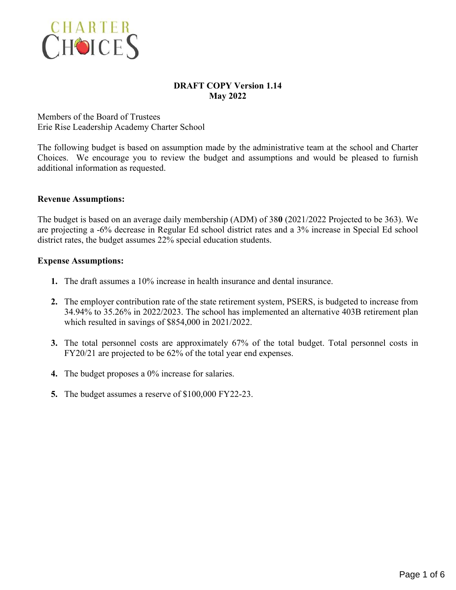

# **DRAFT COPY Version 1.14 May 2022**

Members of the Board of Trustees Erie Rise Leadership Academy Charter School

The following budget is based on assumption made by the administrative team at the school and Charter Choices. We encourage you to review the budget and assumptions and would be pleased to furnish additional information as requested.

# **Revenue Assumptions:**

The budget is based on an average daily membership (ADM) of 38**0** (2021/2022 Projected to be 363). We are projecting a -6% decrease in Regular Ed school district rates and a 3% increase in Special Ed school district rates, the budget assumes 22% special education students.

# **Expense Assumptions:**

- **1.** The draft assumes a 10% increase in health insurance and dental insurance.
- **2.** The employer contribution rate of the state retirement system, PSERS, is budgeted to increase from 34.94% to 35.26% in 2022/2023. The school has implemented an alternative 403B retirement plan which resulted in savings of \$854,000 in 2021/2022.
- **3.** The total personnel costs are approximately 67% of the total budget. Total personnel costs in FY20/21 are projected to be 62% of the total year end expenses.
- **4.** The budget proposes a 0% increase for salaries.
- **5.** The budget assumes a reserve of \$100,000 FY22-23.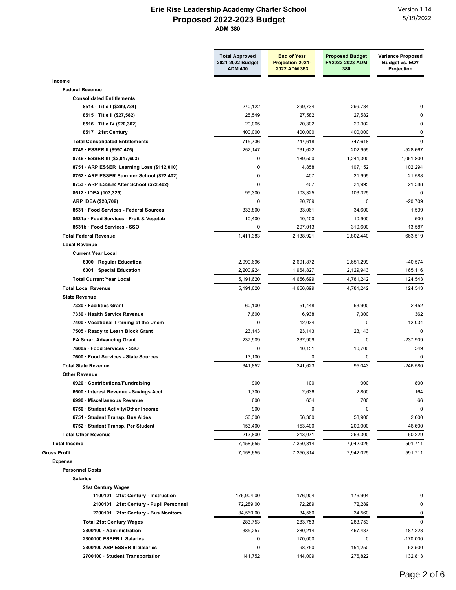|                                            | <b>Total Approved</b><br>2021-2022 Budget | <b>End of Year</b><br><b>Projection 2021-</b> | <b>Proposed Budget</b><br>FY2022-2023 ADM | <b>Variance Proposed</b><br><b>Budget vs. EOY</b> |
|--------------------------------------------|-------------------------------------------|-----------------------------------------------|-------------------------------------------|---------------------------------------------------|
|                                            | <b>ADM 400</b>                            | 2022 ADM 363                                  | 380                                       | Projection                                        |
| Income                                     |                                           |                                               |                                           |                                                   |
| <b>Federal Revenue</b>                     |                                           |                                               |                                           |                                                   |
| <b>Consolidated Entitlements</b>           |                                           |                                               |                                           |                                                   |
| 8514 · Title I (\$299,734)                 | 270,122                                   | 299,734                                       | 299,734                                   |                                                   |
| 8515 · Title II (\$27,582)                 | 25,549                                    | 27,582                                        | 27,582                                    |                                                   |
| 8516 · Title IV (\$20,302)                 | 20,065                                    | 20,302                                        | 20,302                                    | 0                                                 |
| 8517 · 21st Century                        | 400,000                                   | 400,000                                       | 400,000                                   | $\mathbf 0$                                       |
| <b>Total Consolidated Entitlements</b>     | 715,736                                   | 747,618                                       | 747,618                                   | $\mathbf 0$                                       |
| 8745 · ESSER II (\$997,475)                | 252,147                                   | 731,622                                       | 202,955                                   | $-528,667$                                        |
| 8746 · ESSER III (\$2,017,603)             | $\mathbf 0$                               | 189,500                                       | 1,241,300                                 | 1,051,800                                         |
| 8751 · ARP ESSER Learning Loss (\$112,010) | 0                                         | 4,858                                         | 107,152                                   | 102,294                                           |
| 8752 · ARP ESSER Summer School (\$22,402)  | 0                                         | 407                                           | 21,995                                    | 21,588                                            |
| 8753 · ARP ESSER After School (\$22,402)   | 0                                         | 407                                           | 21,995                                    | 21,588                                            |
| 8512 · IDEA (103,325)                      | 99,300                                    | 103,325                                       | 103.325                                   | $\mathbf 0$                                       |
| ARP IDEA (\$20,709)                        | $\mathbf 0$                               | 20,709                                        | $\mathbf 0$                               | $-20,709$                                         |
| 8531 · Food Services - Federal Sources     | 333.800                                   | 33,061                                        | 34,600                                    | 1,539                                             |
| 8531a · Food Services - Fruit & Vegetab    | 10,400                                    | 10,400                                        | 10,900                                    | 500                                               |
| 8531b · Food Services - SSO                | $\pmb{0}$                                 | 297,013                                       | 310,600                                   | 13,587                                            |
| <b>Total Federal Revenue</b>               | 1,411,383                                 | 2,138,921                                     | 2,802,440                                 | 663,519                                           |
| <b>Local Revenue</b>                       |                                           |                                               |                                           |                                                   |
| <b>Current Year Local</b>                  |                                           |                                               |                                           |                                                   |
| 6000 · Regular Education                   | 2,990,696                                 | 2,691,872                                     | 2,651,299                                 | $-40,574$                                         |
| 6001 · Special Education                   | 2,200,924                                 | 1,964,827                                     | 2,129,943                                 | 165,116                                           |
| <b>Total Current Year Local</b>            | 5,191,620                                 | 4,656,699                                     | 4,781,242                                 | 124,543                                           |
| <b>Total Local Revenue</b>                 | 5,191,620                                 | 4,656,699                                     | 4,781,242                                 | 124,543                                           |
| <b>State Revenue</b>                       |                                           |                                               |                                           |                                                   |
| 7320 · Facilities Grant                    | 60,100                                    | 51,448                                        | 53,900                                    | 2,452                                             |
| 7330 · Health Service Revenue              | 7,600                                     | 6,938                                         | 7,300                                     | 362                                               |
| 7400 · Vocational Training of the Unem     | 0                                         | 12,034                                        | 0                                         | $-12,034$                                         |
| 7505 · Ready to Learn Block Grant          | 23,143                                    | 23,143                                        | 23,143                                    | 0                                                 |
| <b>PA Smart Advancing Grant</b>            | 237,909                                   | 237,909                                       | 0                                         | $-237,909$                                        |
| 7600a · Food Services - SSO                | $\mathbf 0$                               | 10,151                                        | 10,700                                    | 549                                               |
| 7600 · Food Services - State Sources       | 13,100                                    | 0                                             | 0                                         | $\mathbf 0$                                       |
| <b>Total State Revenue</b>                 | 341,852                                   | 341,623                                       | 95,043                                    | $-246,580$                                        |
| <b>Other Revenue</b>                       |                                           |                                               |                                           |                                                   |
| 6920 Contributions/Fundraising             | 900                                       | 100                                           | 900                                       | 800                                               |
| 6500 · Interest Revenue - Savings Acct     | 1,700                                     | 2,636                                         | 2,800                                     | 164                                               |
| 6990 · Miscellaneous Revenue               | 600                                       | 634                                           | 700                                       | 66                                                |
| 6750 · Student Activity/Other Income       | 900                                       | 0                                             | 0                                         | $\mathbf 0$                                       |
| 6751 · Student Transp. Bus Aides           | 56,300                                    | 56,300                                        | 58,900                                    | 2,600                                             |
| 6752 · Student Transp. Per Student         | 153,400                                   |                                               | 200,000                                   | 46,600                                            |
| <b>Total Other Revenue</b>                 |                                           | 153,400                                       |                                           |                                                   |
|                                            | 213,800                                   | 213,071                                       | 263,300                                   | 50,229                                            |
| <b>Total Income</b>                        | 7,158,655                                 | 7,350,314                                     | 7,942,025                                 | 591,711                                           |
| <b>Gross Profit</b>                        | 7,158,655                                 | 7,350,314                                     | 7,942,025                                 | 591,711                                           |
| <b>Expense</b>                             |                                           |                                               |                                           |                                                   |
| <b>Personnel Costs</b>                     |                                           |                                               |                                           |                                                   |
| <b>Salaries</b>                            |                                           |                                               |                                           |                                                   |
| <b>21st Century Wages</b>                  |                                           |                                               |                                           |                                                   |
| 1100101 · 21st Century - Instruction       | 176,904.00                                | 176,904                                       | 176,904                                   |                                                   |
| 2100101 · 21st Century - Pupil Personnel   | 72,289.00                                 | 72,289                                        | 72,289                                    | ŋ                                                 |
| 2700101 · 21st Century - Bus Monitors      | 34,560.00                                 | 34,560                                        | 34,560                                    | 0                                                 |
| <b>Total 21st Century Wages</b>            | 283,753                                   | 283,753                                       | 283,753                                   | $\mathbf 0$                                       |
| 2300100 · Administration                   | 385,257                                   | 280,214                                       | 467,437                                   | 187,223                                           |
| 2300100 ESSER II Salaries                  | 0                                         | 170,000                                       | 0                                         | -170,000                                          |
| 2300100 ARP ESSER III Salaries             | 0                                         | 98,750                                        | 151,250                                   | 52,500                                            |
| 2700100 · Student Transportation           | 141,752                                   | 144,009                                       | 276,822                                   | 132,813                                           |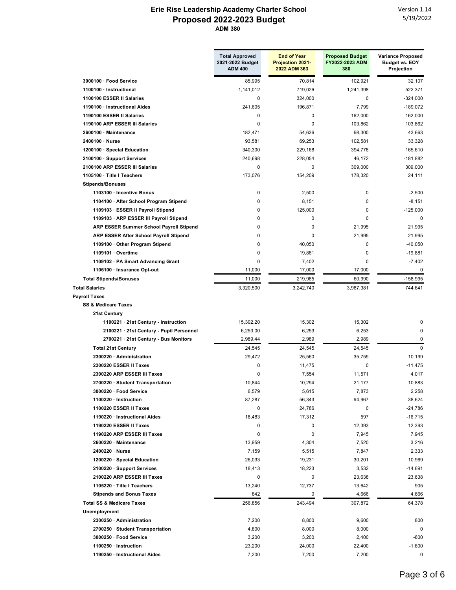|                                          | <b>Total Approved</b><br>2021-2022 Budget<br><b>ADM 400</b> | <b>End of Year</b><br>Projection 2021-<br>2022 ADM 363 | <b>Proposed Budget</b><br>FY2022-2023 ADM<br>380 | <b>Variance Proposed</b><br><b>Budget vs. EOY</b><br>Projection |
|------------------------------------------|-------------------------------------------------------------|--------------------------------------------------------|--------------------------------------------------|-----------------------------------------------------------------|
| 3000100 · Food Service                   | 85,995                                                      | 70,814                                                 | 102,921                                          | 32,107                                                          |
| 1100100 · Instructional                  | 1,141,012                                                   | 719,026                                                | 1.241.398                                        | 522,371                                                         |
| 1100100 ESSER II Salaries                | 0                                                           | 324,000                                                | 0                                                | $-324,000$                                                      |
| 1190100 · Instructional Aides            | 241,605                                                     | 196,871                                                | 7,799                                            | $-189,072$                                                      |
| 1190100 ESSER II Salaries                | 0                                                           | 0                                                      | 162,000                                          | 162,000                                                         |
| 1190100 ARP ESSER III Salaries           | 0                                                           | 0                                                      | 103,862                                          | 103,862                                                         |
| 2600100 · Maintenance                    | 182.471                                                     | 54,636                                                 | 98,300                                           | 43,663                                                          |
| 2400100 · Nurse                          | 93,581                                                      | 69,253                                                 | 102,581                                          | 33,328                                                          |
| 1200100 · Special Education              | 340,300                                                     | 229,168                                                | 394,778                                          | 165,610                                                         |
| 2100100 · Support Services               | 240,698                                                     | 228,054                                                | 46,172                                           | $-181,882$                                                      |
| 2100100 ARP ESSER III Salaries           | 0                                                           | $\Omega$                                               | 309,000                                          | 309,000                                                         |
| 1105100 · Title I Teachers               | 173,076                                                     | 154,209                                                | 178,320                                          | 24,111                                                          |
| <b>Stipends/Bonuses</b>                  |                                                             |                                                        |                                                  |                                                                 |
| 1103100 · Incentive Bonus                | 0                                                           | 2,500                                                  | $\mathbf 0$                                      | $-2,500$                                                        |
| 1104100 · After School Program Stipend   | 0                                                           | 8,151                                                  | $\mathbf 0$                                      | $-8,151$                                                        |
| 1109103 · ESSER II Payroll Stipend       | 0                                                           | 125,000                                                | 0                                                | $-125,000$                                                      |
| 1109103 · ARP ESSER III Payroll Stipend  | 0                                                           | $\mathbf 0$                                            | 0                                                | $\mathbf 0$                                                     |
| ARP ESSER Summer School Payroll Stipend  | 0                                                           | $\mathbf 0$                                            | 21.995                                           | 21,995                                                          |
| ARP ESSER After School Payroll Stipend   | $\Omega$                                                    | 0                                                      | 21,995                                           | 21,995                                                          |
| 1109100 Other Program Stipend            | $\Omega$                                                    | 40,050                                                 | 0                                                | $-40,050$                                                       |
| 1109101 · Overtime                       | 0                                                           | 19,881                                                 | $\mathbf 0$                                      | $-19,881$                                                       |
| 1109102 · PA Smart Advancing Grant       | 0                                                           | 7,402                                                  | $\mathbf 0$                                      | $-7.402$                                                        |
| 1106100 · Insurance Opt-out              | 11,000                                                      | 17,000                                                 | 17,000                                           | $\Omega$                                                        |
| <b>Total Stipends/Bonuses</b>            | 11,000                                                      | 219,985                                                | 60,990                                           | $-158,995$                                                      |
| <b>Total Salaries</b>                    | 3,320,500                                                   | 3,242,740                                              | 3,987,381                                        | 744,641                                                         |
| <b>Payroll Taxes</b>                     |                                                             |                                                        |                                                  |                                                                 |
| <b>SS &amp; Medicare Taxes</b>           |                                                             |                                                        |                                                  |                                                                 |
| 21st Century                             |                                                             |                                                        |                                                  |                                                                 |
| 1100221 · 21st Century - Instruction     | 15,302.20                                                   | 15,302                                                 | 15,302                                           | 0                                                               |
| 2100221 · 21st Century - Pupil Personnel | 6,253.00                                                    | 6,253                                                  | 6,253                                            | 0                                                               |
| 2700221 · 21st Century - Bus Monitors    | 2,989.44                                                    | 2,989                                                  | 2,989                                            | 0                                                               |
| <b>Total 21st Century</b>                | 24,545                                                      | 24,545                                                 | 24,545                                           | $\Omega$                                                        |
| 2300220 Administration                   | 29,472                                                      | 25,560                                                 | 35,759                                           | 10,199                                                          |
| 2300220 ESSER II Taxes                   | 0                                                           | 11,475                                                 | 0                                                | $-11,475$                                                       |
| 2300220 ARP ESSER III Taxes              | 0                                                           | 7,554                                                  | 11,571                                           | 4,017                                                           |
| 2700220 · Student Transportation         | 10,844                                                      | 10,294                                                 | 21,177                                           | 10,883                                                          |
| 3000220 · Food Service                   | 6,579                                                       | 5,615                                                  | 7,873                                            | 2,258                                                           |
| 1100220 · Instruction                    | 87,287                                                      | 56,343                                                 | 94,967                                           | 38,624                                                          |
| 1100220 ESSER II Taxes                   | 0                                                           | 24,786                                                 | 0                                                | $-24,786$                                                       |
| 1190220 · Instructional Aides            | 18,483                                                      | 17,312                                                 | 597                                              | $-16,715$                                                       |
| 1190220 ESSER II Taxes                   | 0                                                           | 0                                                      | 12,393                                           | 12,393                                                          |
| 1190220 ARP ESSER III Taxes              | 0                                                           | 0                                                      | 7,945                                            | 7,945                                                           |
| 2600220 · Maintenance                    | 13,959                                                      | 4,304                                                  | 7,520                                            | 3,216                                                           |
| 2400220 Nurse                            | 7,159                                                       | 5,515                                                  | 7,847                                            | 2,333                                                           |
| 1200220 · Special Education              | 26,033                                                      | 19,231                                                 | 30,201                                           | 10,969                                                          |
| 2100220 · Support Services               | 18,413                                                      | 18,223                                                 | 3,532                                            | $-14,691$                                                       |
| 2100220 ARP ESSER III Taxes              | 0                                                           | 0                                                      | 23,638                                           | 23,638                                                          |
| 1105220 · Title I Teachers               | 13,240                                                      | 12,737                                                 | 13,642                                           | 905                                                             |
| <b>Stipends and Bonus Taxes</b>          | 842                                                         | 0                                                      | 4,666                                            | 4,666                                                           |
| <b>Total SS &amp; Medicare Taxes</b>     | 256,856                                                     | 243,494                                                | 307,872                                          | 64,378                                                          |
| Unemployment                             |                                                             |                                                        |                                                  |                                                                 |
| 2300250 Administration                   | 7,200                                                       | 8,800                                                  | 9,600                                            | 800                                                             |
| 2700250 · Student Transportation         | 4,800                                                       | 8,000                                                  | 8,000                                            | $\mathbf 0$                                                     |
| 3000250 · Food Service                   | 3,200                                                       | 3,200                                                  | 2,400                                            | $-800$                                                          |
| 1100250 · Instruction                    | 23,200                                                      | 24,000                                                 | 22,400                                           | $-1,600$                                                        |
| 1190250 · Instructional Aides            | 7,200                                                       | 7,200                                                  | 7,200                                            | 0                                                               |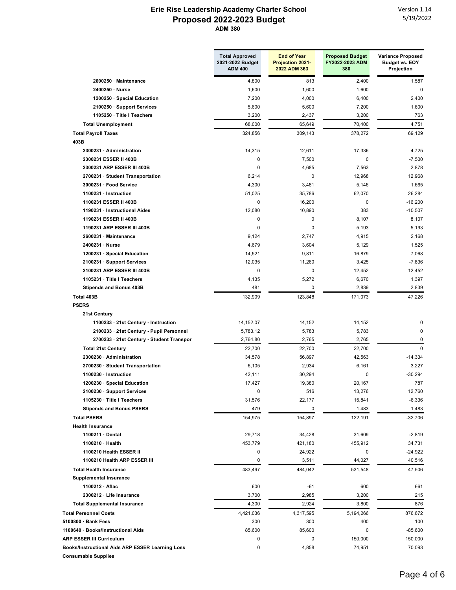|                                                  | <b>Total Approved</b><br>2021-2022 Budget<br><b>ADM 400</b> | <b>End of Year</b><br><b>Projection 2021-</b><br>2022 ADM 363 | <b>Proposed Budget</b><br>FY2022-2023 ADM<br>380 | <b>Variance Proposed</b><br><b>Budget vs. EOY</b><br>Projection |
|--------------------------------------------------|-------------------------------------------------------------|---------------------------------------------------------------|--------------------------------------------------|-----------------------------------------------------------------|
| 2600250 · Maintenance                            | 4,800                                                       | 813                                                           | 2,400                                            | 1,587                                                           |
| 2400250 · Nurse                                  | 1,600                                                       | 1,600                                                         | 1,600                                            | 0                                                               |
| 1200250 · Special Education                      | 7,200                                                       | 4,000                                                         | 6,400                                            | 2,400                                                           |
| 2100250 · Support Services                       | 5,600                                                       | 5,600                                                         | 7,200                                            | 1,600                                                           |
| 1105250 · Title I Teachers                       | 3,200                                                       | 2,437                                                         | 3,200                                            | 763                                                             |
| <b>Total Unemployment</b>                        | 68,000                                                      | 65,649                                                        | 70,400                                           | 4,751                                                           |
| <b>Total Payroll Taxes</b>                       | 324,856                                                     | 309,143                                                       | 378,272                                          | 69,129                                                          |
| 403B                                             |                                                             |                                                               |                                                  |                                                                 |
| 2300231 · Administration                         | 14,315                                                      | 12,611                                                        | 17,336                                           | 4,725                                                           |
| 2300231 ESSER II 403B                            | $\pmb{0}$                                                   | 7,500                                                         | 0                                                | $-7,500$                                                        |
| 2300231 ARP ESSER III 403B                       | $\mathbf 0$                                                 | 4,685                                                         | 7,563                                            | 2,878                                                           |
| 2700231 · Student Transportation                 | 6,214                                                       | 0                                                             | 12,968                                           | 12,968                                                          |
| 3000231 · Food Service                           | 4,300                                                       | 3,481                                                         | 5,146                                            | 1,665                                                           |
| $1100231 \cdot$ Instruction                      | 51,025                                                      | 35,786                                                        | 62,070                                           | 26,284                                                          |
| 1100231 ESSER II 403B                            | $\pmb{0}$                                                   | 16,200                                                        | $\pmb{0}$                                        | $-16,200$                                                       |
| 1190231 · Instructional Aides                    | 12,080                                                      | 10,890                                                        | 383                                              | $-10,507$                                                       |
| 1190231 ESSER II 403B                            | 0                                                           | $\mathbf 0$                                                   | 8,107                                            | 8,107                                                           |
| 1190231 ARP ESSER III 403B                       | 0                                                           | $\mathbf 0$                                                   | 5,193                                            | 5,193                                                           |
| 2600231 · Maintenance                            | 9,124                                                       | 2,747                                                         | 4,915                                            | 2,168                                                           |
| 2400231 · Nurse                                  | 4,679                                                       | 3,604                                                         | 5,129                                            | 1,525                                                           |
| 1200231 · Special Education                      | 14,521                                                      | 9,811                                                         | 16,879                                           | 7,068                                                           |
| 2100231 · Support Services                       | 12,035                                                      | 11,260                                                        | 3,425                                            | $-7,836$                                                        |
| 2100231 ARP ESSER III 403B                       | 0                                                           | 0                                                             | 12,452                                           | 12,452                                                          |
| 1105231 · Title I Teachers                       | 4,135                                                       | 5,272                                                         | 6,670                                            | 1,397                                                           |
| <b>Stipends and Bonus 403B</b>                   | 481                                                         | 0                                                             | 2,839                                            | 2,839                                                           |
| Total 403B<br><b>PSERS</b>                       | 132,909                                                     | 123,848                                                       | 171,073                                          | 47,226                                                          |
| 21st Century                                     |                                                             |                                                               |                                                  |                                                                 |
| 1100233 · 21st Century - Instruction             | 14, 152.07                                                  | 14,152                                                        | 14,152                                           | 0                                                               |
| 2100233 · 21st Century - Pupil Personnel         | 5,783.12                                                    | 5,783                                                         | 5,783                                            | 0                                                               |
| 2700233 · 21st Century - Student Transpor        | 2,764.80                                                    | 2,765                                                         | 2,765                                            | 0                                                               |
| <b>Total 21st Century</b>                        | 22,700                                                      | 22,700                                                        | 22,700                                           | $\mathbf 0$                                                     |
| 2300230 · Administration                         | 34,578                                                      | 56,897                                                        | 42,563                                           | $-14,334$                                                       |
| 2700230 · Student Transportation                 | 6,105                                                       | 2,934                                                         | 6,161                                            | 3,227                                                           |
| 1100230 · Instruction                            | 42,111                                                      | 30,294                                                        | 0                                                | $-30,294$                                                       |
| 1200230 · Special Education                      | 17,427                                                      | 19,380                                                        | 20,167                                           | 787                                                             |
| 2100230 · Support Services                       | 0                                                           | 516                                                           | 13,276                                           | 12,760                                                          |
| 1105230 · Title I Teachers                       | 31,576                                                      | 22,177                                                        | 15,841                                           | -6,336                                                          |
| <b>Stipends and Bonus PSERS</b>                  | 479                                                         | 0                                                             | 1,483                                            | 1,483                                                           |
| <b>Total PSERS</b>                               | 154,975                                                     | 154,897                                                       | 122,191                                          | -32,706                                                         |
| <b>Health Insurance</b>                          |                                                             |                                                               |                                                  |                                                                 |
| 1100211 · Dental                                 | 29,718                                                      | 34,428                                                        | 31,609                                           | $-2,819$                                                        |
| 1100210 · Health                                 | 453,779                                                     | 421,180                                                       | 455,912                                          | 34,731                                                          |
| 1100210 Health ESSER II                          | 0                                                           | 24,922                                                        | 0                                                | -24,922                                                         |
| 1100210 Health ARP ESSER III                     | 0                                                           | 3,511                                                         | 44,027                                           | 40,516                                                          |
| <b>Total Health Insurance</b>                    | 483,497                                                     | 484,042                                                       | 531,548                                          | 47,506                                                          |
| <b>Supplemental Insurance</b>                    |                                                             |                                                               |                                                  |                                                                 |
| 1100212 · Aflac                                  | 600                                                         | -61                                                           | 600                                              | 661                                                             |
| 2300212 · Life Insurance                         | 3,700                                                       | 2,985                                                         | 3,200                                            | 215                                                             |
| <b>Total Supplemental Insurance</b>              | 4,300                                                       | 2,924                                                         | 3,800                                            | 876                                                             |
| <b>Total Personnel Costs</b>                     | 4,421,036                                                   | 4,317,595                                                     | 5,194,266                                        | 876,672                                                         |
| $5100800 \cdot$ Bank Fees                        | 300                                                         | 300                                                           | 400                                              | 100                                                             |
| 1100640 · Books/Instructional Aids               | 85,600                                                      | 85,600                                                        | 0                                                | $-85,600$                                                       |
| <b>ARP ESSER III Curriculum</b>                  | 0                                                           | 0                                                             | 150,000                                          | 150,000                                                         |
| Books/Instructional Aids ARP ESSER Learning Loss | 0                                                           | 4,858                                                         | 74,951                                           | 70,093                                                          |
| <b>Consumable Supplies</b>                       |                                                             |                                                               |                                                  |                                                                 |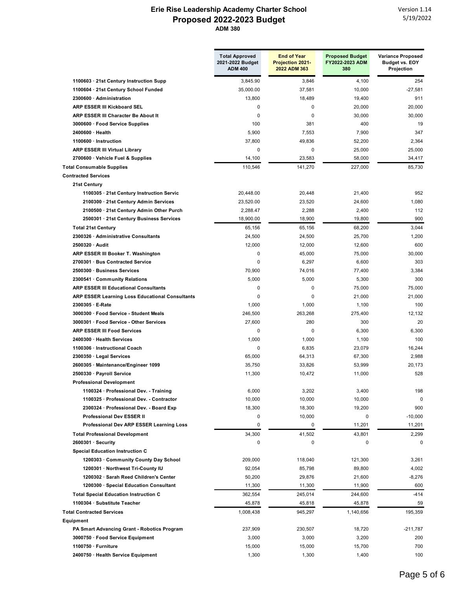|                                                 | <b>Total Approved</b><br>2021-2022 Budget<br><b>ADM 400</b> | <b>End of Year</b><br><b>Projection 2021-</b><br>2022 ADM 363 | <b>Proposed Budget</b><br>FY2022-2023 ADM<br>380 | <b>Variance Proposed</b><br><b>Budget vs. EOY</b><br>Projection |
|-------------------------------------------------|-------------------------------------------------------------|---------------------------------------------------------------|--------------------------------------------------|-----------------------------------------------------------------|
| 1100603 · 21st Century Instruction Supp         | 3,845.90                                                    | 3,846                                                         | 4,100                                            | 254                                                             |
| 1100604 · 21st Century School Funded            | 35,000.00                                                   | 37,581                                                        | 10,000                                           | $-27,581$                                                       |
| 2300600 · Administration                        | 13,800                                                      | 18,489                                                        | 19,400                                           | 911                                                             |
| ARP ESSER III Kickboard SEL                     | 0                                                           | 0                                                             | 20,000                                           | 20,000                                                          |
| ARP ESSER III Character Be About It             | 0                                                           | $\Omega$                                                      | 30,000                                           | 30,000                                                          |
| 3000600 · Food Service Supplies                 | 100                                                         | 381                                                           | 400                                              | 19                                                              |
| 2400600 · Health                                | 5,900                                                       | 7,553                                                         | 7,900                                            | 347                                                             |
| 1100600 · Instruction                           | 37,800                                                      | 49,836                                                        | 52,200                                           | 2,364                                                           |
| <b>ARP ESSER III Virtual Library</b>            | $\mathbf{0}$                                                | $\mathbf 0$                                                   | 25,000                                           | 25,000                                                          |
| 2700600 · Vehicle Fuel & Supplies               | 14,100                                                      | 23,583                                                        | 58,000                                           | 34,417                                                          |
| <b>Total Consumable Supplies</b>                | 110,546                                                     | 141,270                                                       | 227,000                                          | 85,730                                                          |
| <b>Contracted Services</b>                      |                                                             |                                                               |                                                  |                                                                 |
| 21st Century                                    |                                                             |                                                               |                                                  |                                                                 |
| 1100305 · 21st Century Instruction Servic       | 20,448.00                                                   | 20,448                                                        | 21,400                                           | 952                                                             |
| 2100300 · 21st Century Admin Services           | 23,520.00                                                   | 23,520                                                        | 24,600                                           | 1,080                                                           |
| 2100500 · 21st Century Admin Other Purch        | 2,288.47                                                    | 2,288                                                         | 2,400                                            | 112                                                             |
| 2500301 · 21st Century Business Services        | 18,900.00                                                   | 18,900                                                        | 19,800                                           | 900                                                             |
| <b>Total 21st Century</b>                       | 65,156                                                      | 65,156                                                        | 68,200                                           | 3,044                                                           |
| 2300326 Administrative Consultants              | 24,500                                                      | 24,500                                                        | 25,700                                           | 1,200                                                           |
| 2500320 · Audit                                 | 12,000                                                      | 12,000                                                        | 12,600                                           | 600                                                             |
| ARP ESSER III Booker T. Washington              | 0                                                           | 45,000                                                        | 75,000                                           | 30,000                                                          |
| 2700301 Bus Contracted Service                  | 0                                                           | 6,297                                                         | 6,600                                            | 303                                                             |
| 2500300 · Business Services                     | 70,900                                                      | 74,016                                                        | 77,400                                           | 3,384                                                           |
| 2300541 · Community Relations                   | 5,000                                                       | 5,000                                                         | 5,300                                            | 300                                                             |
| <b>ARP ESSER III Educational Consultants</b>    | 0                                                           | 0                                                             | 75,000                                           | 75,000                                                          |
| ARP ESSER Learning Loss Educational Consultants | 0                                                           | $\mathbf 0$                                                   | 21,000                                           | 21,000                                                          |
| 2300305 · E-Rate                                | 1,000                                                       | 1,000                                                         | 1,100                                            | 100                                                             |
| 3000300 · Food Service - Student Meals          | 246,500                                                     | 263,268                                                       | 275,400                                          | 12,132                                                          |
| 3000301 · Food Service - Other Services         | 27,600                                                      | 280                                                           | 300                                              | 20                                                              |
| <b>ARP ESSER III Food Services</b>              | 0                                                           | 0                                                             |                                                  |                                                                 |
| 2400300 · Health Services                       |                                                             |                                                               | 6,300                                            | 6,300<br>100                                                    |
|                                                 | 1,000<br>0                                                  | 1,000                                                         | 1,100                                            |                                                                 |
| 1100306 · Instructional Coach                   |                                                             | 6,835                                                         | 23,079                                           | 16,244                                                          |
| 2300350 · Legal Services                        | 65,000                                                      | 64,313                                                        | 67,300                                           | 2,988                                                           |
| 2600305 · Maintenance/Engineer 1099             | 35,750                                                      | 33,826                                                        | 53,999                                           | 20,173                                                          |
| 2500330 · Payroll Service                       | 11,300                                                      | 10,472                                                        | 11,000                                           | 528                                                             |
| <b>Professional Development</b>                 |                                                             |                                                               |                                                  |                                                                 |
| 1100324 · Professional Dev. - Training          | 6,000                                                       | 3,202                                                         | 3,400                                            | 198                                                             |
| 1100325 · Professional Dev. - Contractor        | 10,000                                                      | 10,000                                                        | 10,000                                           | 0                                                               |
| 2300324 · Professional Dev. - Board Exp         | 18,300                                                      | 18,300                                                        | 19,200                                           | 900                                                             |
| Professional Dev ESSER II                       | 0                                                           | 10,000                                                        | 0                                                | $-10,000$                                                       |
| Professional Dev ARP ESSER Learning Loss        | 0                                                           | 0                                                             | 11,201                                           | 11,201                                                          |
| <b>Total Professional Development</b>           | 34,300                                                      | 41,502                                                        | 43,801                                           | 2,299                                                           |
| $2600301 \cdot$ Security                        | $\pmb{0}$                                                   | 0                                                             | 0                                                | 0                                                               |
| <b>Special Education Instruction C</b>          |                                                             |                                                               |                                                  |                                                                 |
| 1200303 · Community County Day School           | 209,000                                                     | 118,040                                                       | 121,300                                          | 3,261                                                           |
| 1200301 · Northwest Tri-County IU               | 92,054                                                      | 85,798                                                        | 89,800                                           | 4,002                                                           |
| 1200302 · Sarah Reed Children's Center          | 50,200                                                      | 29,876                                                        | 21,600                                           | $-8,276$                                                        |
| 1200300 · Special Education Consultant          | 11,300                                                      | 11,300                                                        | 11,900                                           | 600                                                             |
| <b>Total Special Education Instruction C</b>    | 362,554                                                     | 245,014                                                       | 244,600                                          | -414                                                            |
| 1100304 · Substitute Teacher                    | 45,878                                                      | 45,818                                                        | 45,878                                           | 59                                                              |
| <b>Total Contracted Services</b>                | 1,008,438                                                   | 945,297                                                       | 1,140,656                                        | 195,359                                                         |
| Equipment                                       |                                                             |                                                               |                                                  |                                                                 |
| PA Smart Advancing Grant - Robotics Program     | 237,909                                                     | 230,507                                                       | 18,720                                           | $-211,787$                                                      |
| 3000750 · Food Service Equipment                | 3,000                                                       | 3,000                                                         | 3,200                                            | 200                                                             |
| 1100750 · Furniture                             | 15,000                                                      | 15,000                                                        | 15,700                                           | 700                                                             |
| 2400750 · Health Service Equipment              | 1,300                                                       | 1,300                                                         | 1,400                                            | 100                                                             |